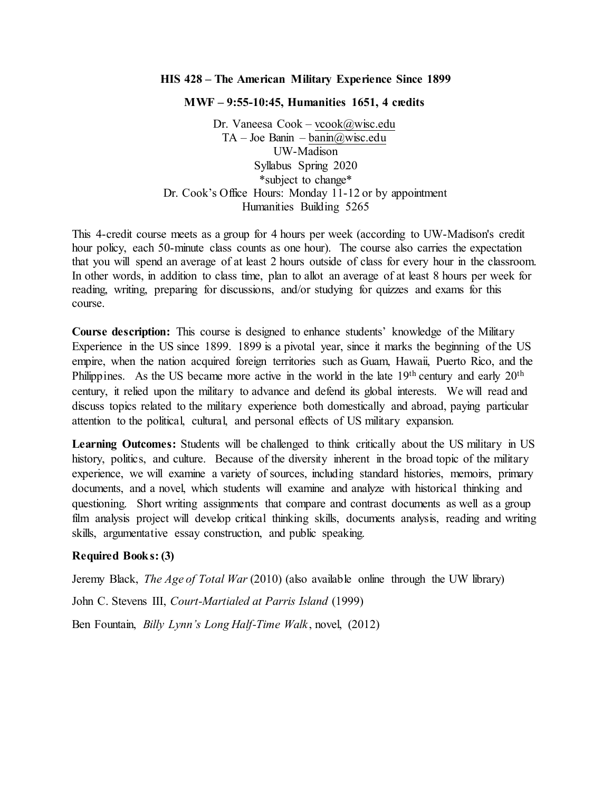## **HIS 428 – The American Military Experience Since 1899**

#### **MWF – 9:55-10:45, Humanities 1651, 4 credits**

Dr. Vaneesa Cook – [vcook@wisc.edu](mailto:vcook@wisc.edu) TA – Joe Banin – [banin@wisc.edu](mailto:banin@wisc.edu) UW-Madison Syllabus Spring 2020 \*subject to change\* Dr. Cook's Office Hours: Monday 11-12 or by appointment Humanities Building 5265

This 4-credit course meets as a group for 4 hours per week (according to UW-Madison's credit hour policy, each 50-minute class counts as one hour). The course also carries the expectation that you will spend an average of at least 2 hours outside of class for every hour in the classroom. In other words, in addition to class time, plan to allot an average of at least 8 hours per week for reading, writing, preparing for discussions, and/or studying for quizzes and exams for this course.

**Course description:** This course is designed to enhance students' knowledge of the Military Experience in the US since 1899. 1899 is a pivotal year, since it marks the beginning of the US empire, when the nation acquired foreign territories such as Guam, Hawaii, Puerto Rico, and the Philippines. As the US became more active in the world in the late 19<sup>th</sup> century and early 20<sup>th</sup> century, it relied upon the military to advance and defend its global interests. We will read and discuss topics related to the military experience both domestically and abroad, paying particular attention to the political, cultural, and personal effects of US military expansion.

**Learning Outcomes:** Students will be challenged to think critically about the US military in US history, politics, and culture. Because of the diversity inherent in the broad topic of the military experience, we will examine a variety of sources, including standard histories, memoirs, primary documents, and a novel, which students will examine and analyze with historical thinking and questioning. Short writing assignments that compare and contrast documents as well as a group film analysis project will develop critical thinking skills, documents analysis, reading and writing skills, argumentative essay construction, and public speaking.

## **Required Books: (3)**

Jeremy Black, *The Age of Total War* (2010) (also available online through the UW library)

John C. Stevens III, *Court-Martialed at Parris Island* (1999)

Ben Fountain, *Billy Lynn's Long Half-Time Walk* , novel, (2012)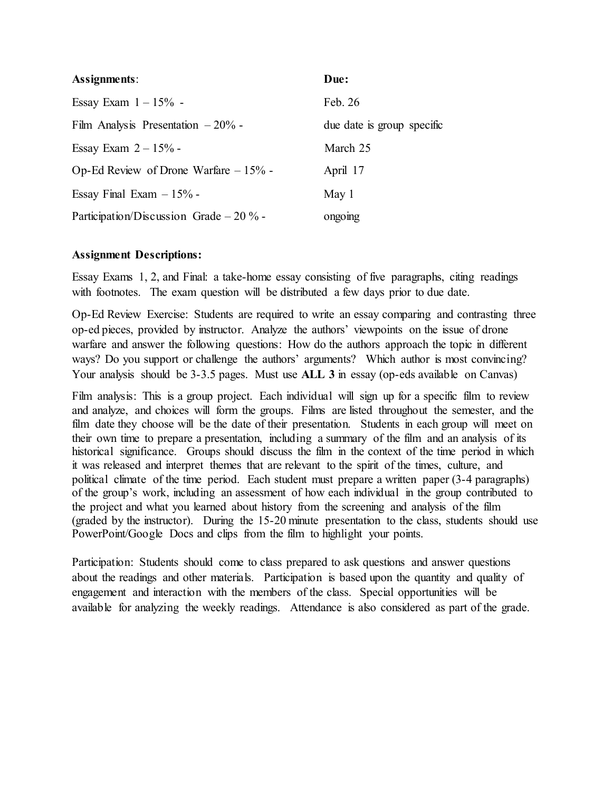| Assignments:                             | Due:                       |
|------------------------------------------|----------------------------|
| Essay Exam $1 - 15\%$ -                  | Feb. 26                    |
| Film Analysis Presentation $-20\%$ -     | due date is group specific |
| Essay Exam $2 - 15%$ -                   | March 25                   |
| Op-Ed Review of Drone Warfare $-15%$ -   | April 17                   |
| Essay Final Exam $-15\%$ -               | May 1                      |
| Participation/Discussion Grade $-20\%$ - | ongoing                    |

# **Assignment Descriptions:**

Essay Exams 1, 2, and Final: a take-home essay consisting of five paragraphs, citing readings with footnotes. The exam question will be distributed a few days prior to due date.

Op-Ed Review Exercise: Students are required to write an essay comparing and contrasting three op-ed pieces, provided by instructor. Analyze the authors' viewpoints on the issue of drone warfare and answer the following questions: How do the authors approach the topic in different ways? Do you support or challenge the authors' arguments? Which author is most convincing? Your analysis should be 3-3.5 pages. Must use **ALL 3** in essay (op-eds available on Canvas)

Film analysis: This is a group project. Each individual will sign up for a specific film to review and analyze, and choices will form the groups. Films are listed throughout the semester, and the film date they choose will be the date of their presentation. Students in each group will meet on their own time to prepare a presentation, including a summary of the film and an analysis of its historical significance. Groups should discuss the film in the context of the time period in which it was released and interpret themes that are relevant to the spirit of the times, culture, and political climate of the time period. Each student must prepare a written paper (3-4 paragraphs) of the group's work, including an assessment of how each individual in the group contributed to the project and what you learned about history from the screening and analysis of the film (graded by the instructor). During the 15-20 minute presentation to the class, students should use PowerPoint/Google Docs and clips from the film to highlight your points.

Participation: Students should come to class prepared to ask questions and answer questions about the readings and other materials. Participation is based upon the quantity and quality of engagement and interaction with the members of the class. Special opportunities will be available for analyzing the weekly readings. Attendance is also considered as part of the grade.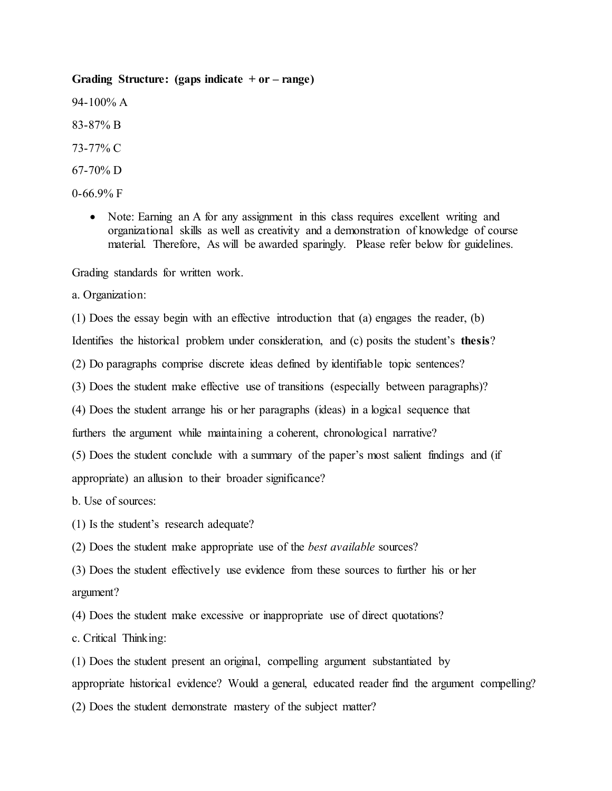## **Grading Structure: (gaps indicate + or – range)**

94-100% A

83-87% B

73-77% C

67-70% D

0-66.9% F

• Note: Earning an A for any assignment in this class requires excellent writing and organizational skills as well as creativity and a demonstration of knowledge of course material. Therefore, As will be awarded sparingly. Please refer below for guidelines.

Grading standards for written work.

a. Organization:

(1) Does the essay begin with an effective introduction that (a) engages the reader, (b)

Identifies the historical problem under consideration, and (c) posits the student's **thesis**?

(2) Do paragraphs comprise discrete ideas defined by identifiable topic sentences?

(3) Does the student make effective use of transitions (especially between paragraphs)?

(4) Does the student arrange his or her paragraphs (ideas) in a logical sequence that

furthers the argument while maintaining a coherent, chronological narrative?

(5) Does the student conclude with a summary of the paper's most salient findings and (if appropriate) an allusion to their broader significance?

b. Use of sources:

(1) Is the student's research adequate?

(2) Does the student make appropriate use of the *best available* sources?

(3) Does the student effectively use evidence from these sources to further his or her argument?

(4) Does the student make excessive or inappropriate use of direct quotations?

c. Critical Thinking:

(1) Does the student present an original, compelling argument substantiated by appropriate historical evidence? Would a general, educated reader find the argument compelling? (2) Does the student demonstrate mastery of the subject matter?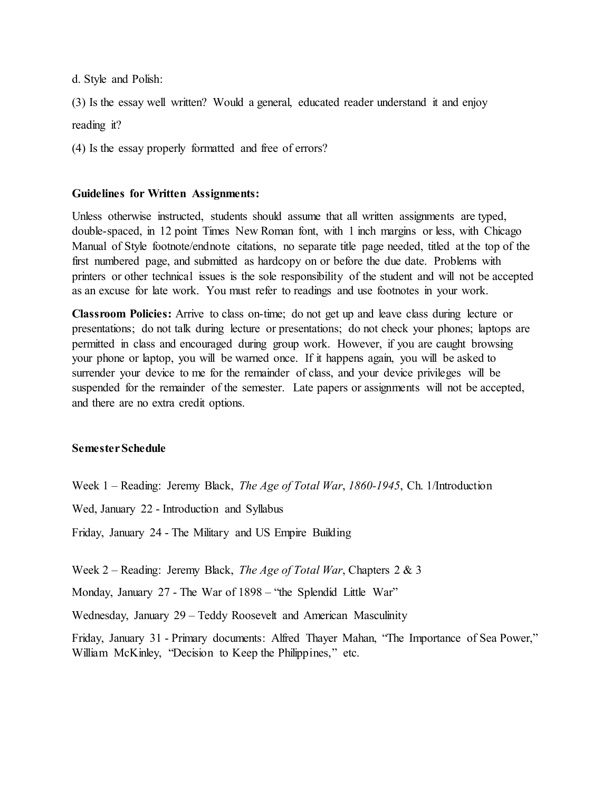d. Style and Polish:

(3) Is the essay well written? Would a general, educated reader understand it and enjoy reading it?

(4) Is the essay properly formatted and free of errors?

## **Guidelines for Written Assignments:**

Unless otherwise instructed, students should assume that all written assignments are typed, double-spaced, in 12 point Times New Roman font, with 1 inch margins or less, with Chicago Manual of Style footnote/endnote citations, no separate title page needed, titled at the top of the first numbered page, and submitted as hardcopy on or before the due date. Problems with printers or other technical issues is the sole responsibility of the student and will not be accepted as an excuse for late work. You must refer to readings and use footnotes in your work.

**Classroom Policies:** Arrive to class on-time; do not get up and leave class during lecture or presentations; do not talk during lecture or presentations; do not check your phones; laptops are permitted in class and encouraged during group work. However, if you are caught browsing your phone or laptop, you will be warned once. If it happens again, you will be asked to surrender your device to me for the remainder of class, and your device privileges will be suspended for the remainder of the semester. Late papers or assignments will not be accepted, and there are no extra credit options.

## **Semester Schedule**

Week 1 – Reading: Jeremy Black, *The Age of Total War*, *1860-1945*, Ch. 1/Introduction

Wed, January 22 - Introduction and Syllabus

Friday, January 24 - The Military and US Empire Building

Week 2 – Reading: Jeremy Black, *The Age of Total War*, Chapters 2 & 3

Monday, January 27 - The War of 1898 – "the Splendid Little War"

Wednesday, January 29 – Teddy Roosevelt and American Masculinity

Friday, January 31 - Primary documents: Alfred Thayer Mahan, "The Importance of Sea Power," William McKinley, "Decision to Keep the Philippines," etc.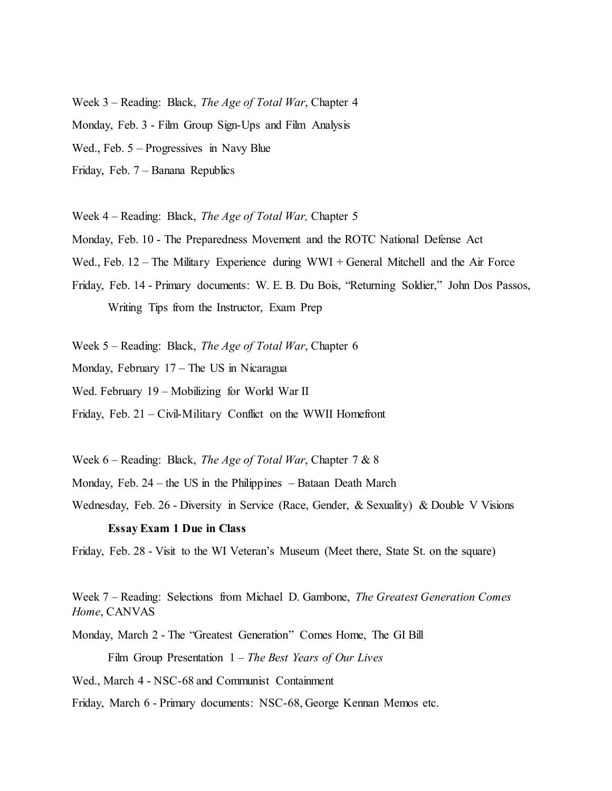Week 3 – Reading: Black, *The Age of Total War*, Chapter 4

Monday, Feb. 3 - Film Group Sign-Ups and Film Analysis

Wed., Feb. 5 – Progressives in Navy Blue

Friday, Feb. 7 – Banana Republics

Week 4 – Reading: Black, *The Age of Total War,* Chapter 5

Monday, Feb. 10 - The Preparedness Movement and the ROTC National Defense Act

Wed., Feb. 12 – The Military Experience during WWI + General Mitchell and the Air Force

Friday, Feb. 14 - Primary documents: W. E. B. Du Bois, "Returning Soldier," John Dos Passos, Writing Tips from the Instructor, Exam Prep

Week 5 – Reading: Black, *The Age of Total War*, Chapter 6

Monday, February 17 – The US in Nicaragua

Wed. February 19 – Mobilizing for World War II

Friday, Feb. 21 – Civil-Military Conflict on the WWII Homefront

Week 6 – Reading: Black, *The Age of Total War*, Chapter 7 & 8

Monday, Feb. 24 – the US in the Philippines – Bataan Death March

Wednesday, Feb. 26 - Diversity in Service (Race, Gender, & Sexuality) & Double V Visions

## **Essay Exam 1 Due in Class**

Friday, Feb. 28 - Visit to the WI Veteran's Museum (Meet there, State St. on the square)

Week 7 – Reading: Selections from Michael D. Gambone, *The Greatest Generation Comes Home*, CANVAS

Monday, March 2 - The "Greatest Generation" Comes Home, The GI Bill

Film Group Presentation 1 – *The Best Years of Our Lives*

Wed., March 4 - NSC-68 and Communist Containment

Friday, March 6 - Primary documents: NSC-68, George Kennan Memos etc.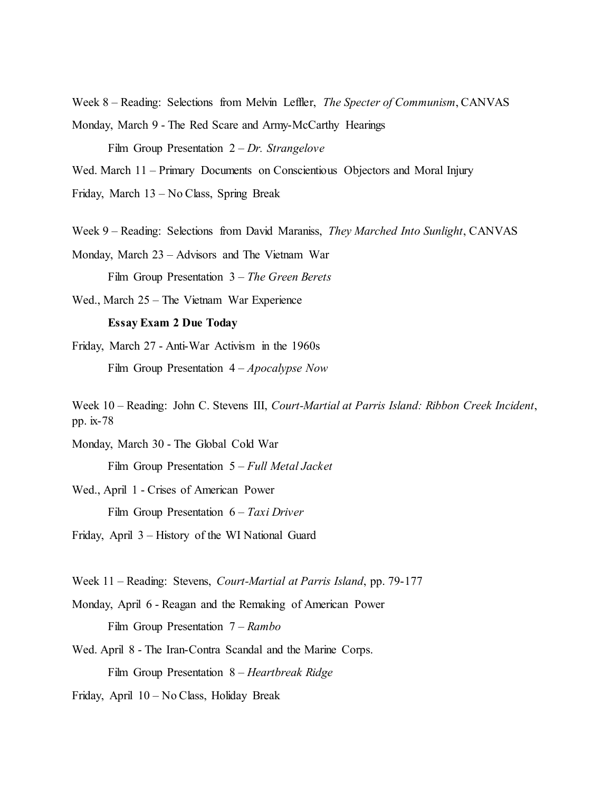Week 8 – Reading: Selections from Melvin Leffler, *The Specter of Communism*, CANVAS Monday, March 9 - The Red Scare and Army-McCarthy Hearings

Film Group Presentation 2 – *Dr. Strangelove*

Wed. March 11 – Primary Documents on Conscientious Objectors and Moral Injury

Friday, March 13 – No Class, Spring Break

Week 9 – Reading: Selections from David Maraniss, *They Marched Into Sunlight*, CANVAS

Monday, March 23 – Advisors and The Vietnam War Film Group Presentation 3 – *The Green Berets*

Wed., March 25 – The Vietnam War Experience

#### **Essay Exam 2 Due Today**

Friday, March 27 - Anti-War Activism in the 1960s Film Group Presentation 4 – *Apocalypse Now*

Monday, March 30 - The Global Cold War Film Group Presentation 5 – *Full Metal Jacket*

Wed., April 1 - Crises of American Power Film Group Presentation 6 – *Taxi Driver*

Friday, April 3 – History of the WI National Guard

Week 11 – Reading: Stevens, *Court-Martial at Parris Island*, pp. 79-177

Monday, April 6 - Reagan and the Remaking of American Power Film Group Presentation 7 – *Rambo*

Wed. April 8 - The Iran-Contra Scandal and the Marine Corps. Film Group Presentation 8 – *Heartbreak Ridge*

Friday, April 10 – No Class, Holiday Break

Week 10 – Reading: John C. Stevens III, *Court-Martial at Parris Island: Ribbon Creek Incident*, pp. ix-78